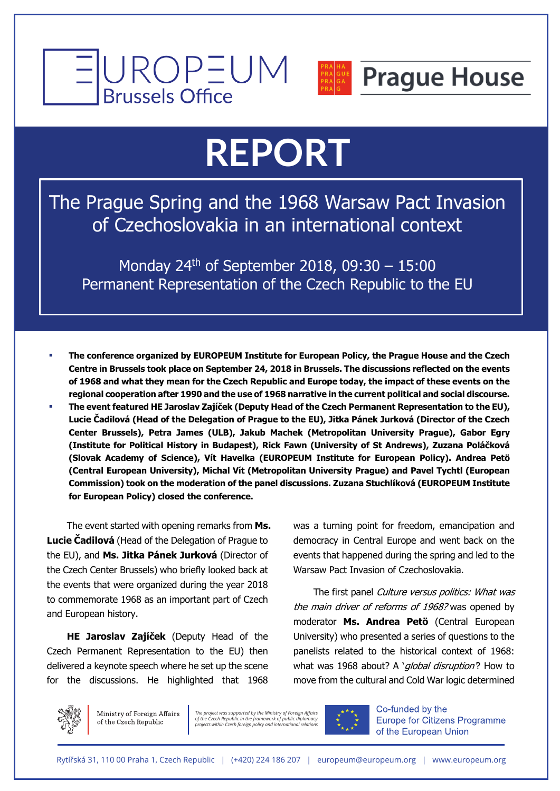



#### **Prague House**

# **REPORT**

The Prague Spring and the 1968 Warsaw Pact Invasion of Czechoslovakia in an international context

Monday 24<sup>th</sup> of September 2018, 09:30  $- 15:00$ Permanent Representation of the Czech Republic to the EU

- § **The conference organized by EUROPEUM Institute for European Policy, the Prague House and the Czech Centre in Brussels took place on September 24, 2018 in Brussels. The discussions reflected on the events of 1968 and what they mean for the Czech Republic and Europe today, the impact of these events on the regional cooperation after 1990 and the use of 1968 narrative in the current political and social discourse.**
- § **The event featured HE Jaroslav Zajíček (Deputy Head of the Czech Permanent Representation to the EU), Lucie Čadilová (Head of the Delegation of Prague to the EU), Jitka Pánek Jurková (Director of the Czech Center Brussels), Petra James (ULB), Jakub Machek (Metropolitan University Prague), Gabor Egry (Institute for Political History in Budapest), Rick Fawn (University of St Andrews), Zuzana Poláčková (Slovak Academy of Science), Vít Havelka (EUROPEUM Institute for European Policy). Andrea Petö (Central European University), Michal Vít (Metropolitan University Prague) and Pavel Tychtl (European Commission) took on the moderation of the panel discussions. Zuzana Stuchlíková (EUROPEUM Institute for European Policy) closed the conference.**

The event started with opening remarks from **Ms. Lucie Čadilová** (Head of the Delegation of Prague to the EU), and **Ms. Jitka Pánek Jurková** (Director of the Czech Center Brussels) who briefly looked back at the events that were organized during the year 2018 to commemorate 1968 as an important part of Czech and European history.

**HE Jaroslav Zajíček** (Deputy Head of the Czech Permanent Representation to the EU) then delivered a keynote speech where he set up the scene for the discussions. He highlighted that 1968

was a turning point for freedom, emancipation and democracy in Central Europe and went back on the events that happened during the spring and led to the Warsaw Pact Invasion of Czechoslovakia.

The first panel Culture versus politics: What was the main driver of reforms of 1968? was opened by moderator **Ms. Andrea Petö** (Central European University) who presented a series of questions to the panelists related to the historical context of 1968: what was 1968 about? A 'global disruption'? How to move from the cultural and Cold War logic determined



Ministry of Foreign Affairs of the Czech Republic

*The project was supported by the Ministry of Foreign Affairs of the Czech Republic in the framework of public diplomacy projects within Czech foreign policy and international relations*



Co-funded by the **Europe for Citizens Programme** of the European Union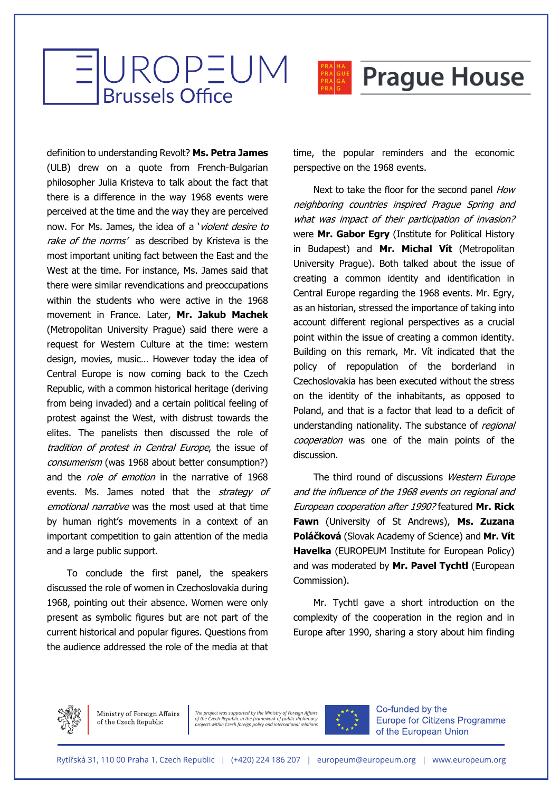



#### **Prague House**

definition to understanding Revolt? **Ms. Petra James**  (ULB) drew on a quote from French-Bulgarian philosopher Julia Kristeva to talk about the fact that there is a difference in the way 1968 events were perceived at the time and the way they are perceived now. For Ms. James, the idea of a 'violent desire to rake of the norms' as described by Kristeva is the most important uniting fact between the East and the West at the time. For instance, Ms. James said that there were similar revendications and preoccupations within the students who were active in the 1968 movement in France. Later, **Mr. Jakub Machek**  (Metropolitan University Prague) said there were a request for Western Culture at the time: western design, movies, music… However today the idea of Central Europe is now coming back to the Czech Republic, with a common historical heritage (deriving from being invaded) and a certain political feeling of protest against the West, with distrust towards the elites. The panelists then discussed the role of tradition of protest in Central Europe, the issue of consumerism (was 1968 about better consumption?) and the *role of emotion* in the narrative of 1968 events. Ms. James noted that the *strategy of* emotional narrative was the most used at that time by human right's movements in a context of an important competition to gain attention of the media and a large public support.

To conclude the first panel, the speakers discussed the role of women in Czechoslovakia during 1968, pointing out their absence. Women were only present as symbolic figures but are not part of the current historical and popular figures. Questions from the audience addressed the role of the media at that

time, the popular reminders and the economic perspective on the 1968 events.

Next to take the floor for the second panel How neighboring countries inspired Prague Spring and what was impact of their participation of invasion? were **Mr. Gabor Egry** (Institute for Political History in Budapest) and **Mr. Michal Vít** (Metropolitan University Prague). Both talked about the issue of creating a common identity and identification in Central Europe regarding the 1968 events. Mr. Egry, as an historian, stressed the importance of taking into account different regional perspectives as a crucial point within the issue of creating a common identity. Building on this remark, Mr. Vít indicated that the policy of repopulation of the borderland in Czechoslovakia has been executed without the stress on the identity of the inhabitants, as opposed to Poland, and that is a factor that lead to a deficit of understanding nationality. The substance of regional cooperation was one of the main points of the discussion.

The third round of discussions Western Europe and the influence of the 1968 events on regional and European cooperation after 1990? featured **Mr. Rick Fawn** (University of St Andrews), **Ms. Zuzana Poláčková** (Slovak Academy of Science) and **Mr. Vít Havelka** (EUROPEUM Institute for European Policy) and was moderated by **Mr. Pavel Tychtl** (European Commission).

Mr. Tychtl gave a short introduction on the complexity of the cooperation in the region and in Europe after 1990, sharing a story about him finding

Ministry of Foreign Affairs of the Czech Republic

*The project was supported by the Ministry of Foreign Affairs of the Czech Republic in the framework of public diplomacy projects within Czech foreign policy and international relations*



Co-funded by the **Europe for Citizens Programme** of the European Union